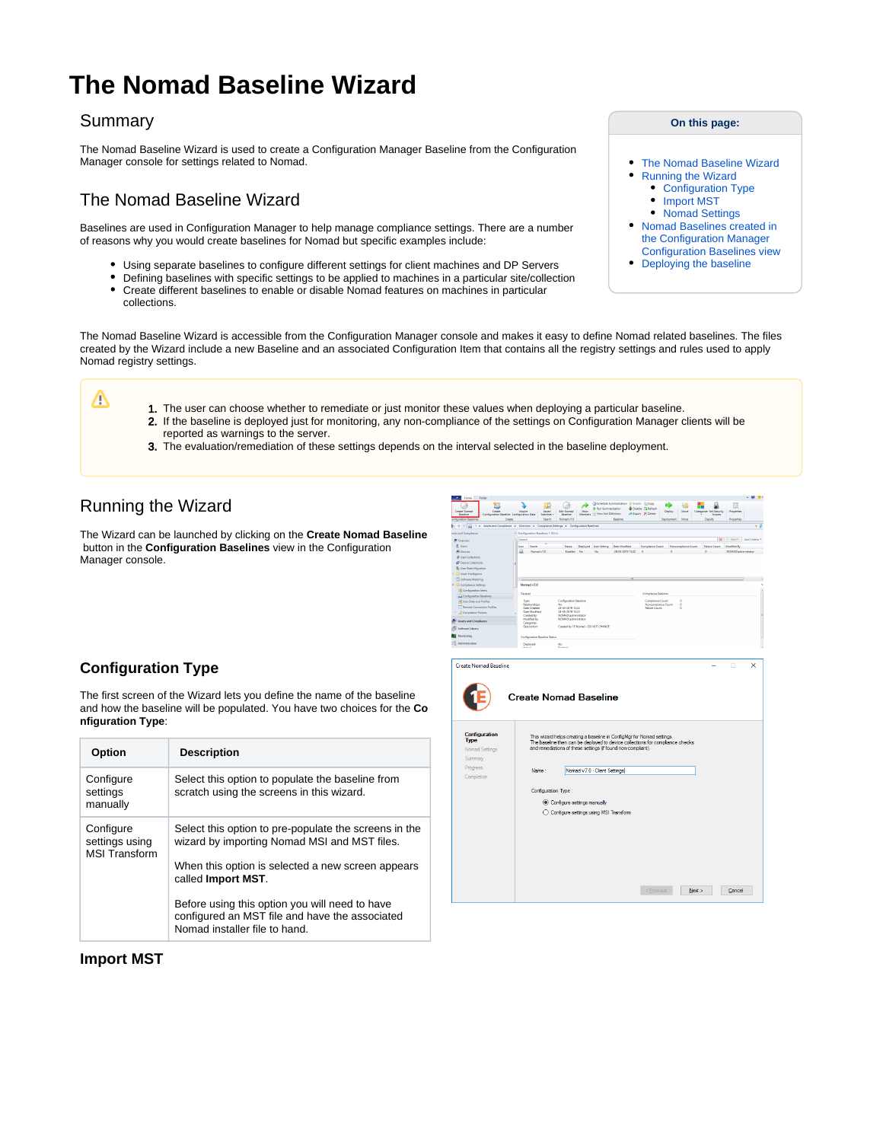# **The Nomad Baseline Wizard**

### Summary

Δ

The Nomad Baseline Wizard is used to create a Configuration Manager Baseline from the Configuration Manager console for settings related to Nomad.

# <span id="page-0-0"></span>The Nomad Baseline Wizard

Baselines are used in Configuration Manager to help manage compliance settings. There are a number of reasons why you would create baselines for Nomad but specific examples include:

- Using separate baselines to configure different settings for client machines and DP Servers
- Defining baselines with specific settings to be applied to machines in a particular site/collection Create different baselines to enable or disable Nomad features on machines in particular collections.
- 
- The Nomad Baseline Wizard is accessible from the Configuration Manager console and makes it easy to define Nomad related baselines. The files created by the Wizard include a new Baseline and an associated Configuration Item that contains all the registry settings and rules used to apply Nomad registry settings.

1. The user can choose whether to remediate or just monitor these values when deploying a particular baseline. 2. If the baseline is deployed just for monitoring, any non-compliance of the settings on Configuration Manager clients will be

- reported as warnings to the server.
- 3. The evaluation/remediation of these settings depends on the interval selected in the baseline deployment.

# <span id="page-0-1"></span>Running the Wizard

The Wizard can be launched by clicking on the **Create Nomad Baseline** button in the **Configuration Baselines** view in the Configuration Manager console.

## <span id="page-0-2"></span>**Configuration Type**

The first screen of the Wizard lets you define the name of the baseline and how the baseline will be populated. You have two choices for the **Co nfiguration Type**:

| <b>Option</b>                                       | <b>Description</b>                                                                                                                                         |
|-----------------------------------------------------|------------------------------------------------------------------------------------------------------------------------------------------------------------|
| Configure<br>settings<br>manually                   | Select this option to populate the baseline from<br>scratch using the screens in this wizard.                                                              |
| Configure<br>settings using<br><b>MSI Transform</b> | Select this option to pre-populate the screens in the<br>wizard by importing Nomad MSI and MST files.<br>When this option is selected a new screen appears |
|                                                     | called Import MST.<br>Before using this option you will need to have<br>configured an MST file and have the associated<br>Nomad installer file to hand.    |





<span id="page-0-3"></span>**Import MST**

#### **On this page:**

- [The Nomad Baseline Wizard](#page-0-0)
- $\bullet$ [Running the Wizard](#page-0-1)
	- [Configuration Type](#page-0-2)
	- [Import MST](#page-0-3)
- [Nomad Settings](#page-1-0) [Nomad Baselines created in](#page-2-0)  [the Configuration Manager](#page-2-0)  [Configuration Baselines view](#page-2-0)
- [Deploying the baseline](#page-2-1)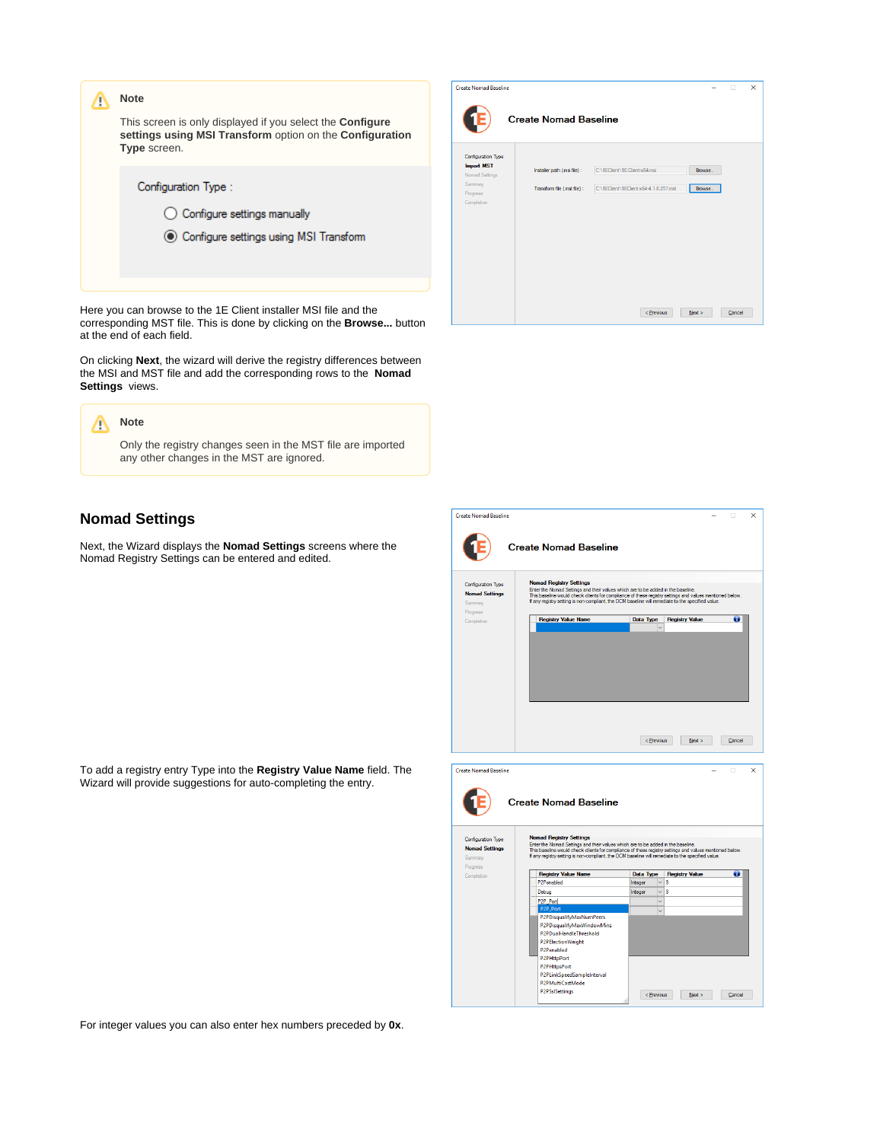| This screen is only displayed if you select the <b>Configure</b><br>settings using MSI Transform option on the Configuration<br><b>Type</b> screen.<br>Configuration Type:<br>Configure settings manually | <b>Note</b>                              |  |
|-----------------------------------------------------------------------------------------------------------------------------------------------------------------------------------------------------------|------------------------------------------|--|
|                                                                                                                                                                                                           |                                          |  |
|                                                                                                                                                                                                           |                                          |  |
|                                                                                                                                                                                                           |                                          |  |
|                                                                                                                                                                                                           | ◯ Configure settings using MSI Transform |  |
|                                                                                                                                                                                                           |                                          |  |

Here you can browse to the 1E Client installer MSI file and the corresponding MST file. This is done by clicking on the **Browse...** button at the end of each field.

On clicking **Next**, the wizard will derive the registry differences between the MSI and MST file and add the corresponding rows to the **Nomad Settings** views.



## <span id="page-1-0"></span>**Nomad Settings**

Next, the Wizard displays the **Nomad Settings** screens where the Nomad Registry Settings can be entered and edited.

To add a registry entry Type into the **Registry Value Name** field. The Wizard will provide suggestions for auto-completing the entry.



| <b>Create Nomad Baseline</b>                                       |                                                                                                                                                                                                                                                                                                                                    |                                          |                       | п      | $\times$ |
|--------------------------------------------------------------------|------------------------------------------------------------------------------------------------------------------------------------------------------------------------------------------------------------------------------------------------------------------------------------------------------------------------------------|------------------------------------------|-----------------------|--------|----------|
|                                                                    | <b>Create Nomad Baseline</b>                                                                                                                                                                                                                                                                                                       |                                          |                       |        |          |
| Configuration Type<br><b>Nomad Settings</b>                        | <b>Nomad Registry Settings</b><br>Enter the Nomad Settings and their values which are to be added in the baseline.<br>This baseline would check clients for compliance of these registry settings and values mentioned below.<br>If any registry setting is non-compliant, the DCM baseline will remediate to the specified value. |                                          |                       |        |          |
| Summary<br>Progress<br>Completion                                  | <b>Registry Value Name</b>                                                                                                                                                                                                                                                                                                         | <b>Data Type</b><br>$\ddot{\phantom{0}}$ | <b>Registry Value</b> | o      |          |
|                                                                    |                                                                                                                                                                                                                                                                                                                                    | < Previous                               | New >                 | Cancel |          |
| <b>Create Nomad Baseline</b>                                       | <b>Create Nomad Baseline</b>                                                                                                                                                                                                                                                                                                       |                                          |                       | m.     | ×        |
| Configuration Type<br><b>Nomad Settings</b><br>Summary<br>Progress | <b>Nomad Registry Settings</b><br>Enter the Nomad Settings and their values which are to be added in the baseline.<br>This baseline would check clients for compliance of these registry settings and values mentioned below.<br>If any registry setting is non-compliant, the DCM baseline will remediate to the specified value. |                                          |                       |        |          |
| Completion                                                         | <b>Registry Value Name</b>                                                                                                                                                                                                                                                                                                         | <b>Data Type</b>                         | <b>Registry Value</b> | œ      |          |
|                                                                    | P2Penabled                                                                                                                                                                                                                                                                                                                         | Integer<br>$\checkmark$                  | 9                     |        |          |
|                                                                    | Debua                                                                                                                                                                                                                                                                                                                              | Integer<br>$\checkmark$                  | 9                     |        |          |
|                                                                    | P2P Port                                                                                                                                                                                                                                                                                                                           | $\ddot{\phantom{0}}$                     |                       |        |          |

Part Port<br>P2PDisqualifyMaxNumPeers<br>P2PDisqualifyMaxWindowMins<br>P2PDualHandleThreshold<br>P2PEIectionWeight

 $\leq$  Previous  $\leq$  Mext > Cancel

P2Penabled PzPenabled<br>P2PHttpPort<br>P2PHttpsPort<br>P2PMultiCastMode<br>P2PMultiCastMode **P2PSsISettings** 

For integer values you can also enter hex numbers preceded by **0x**.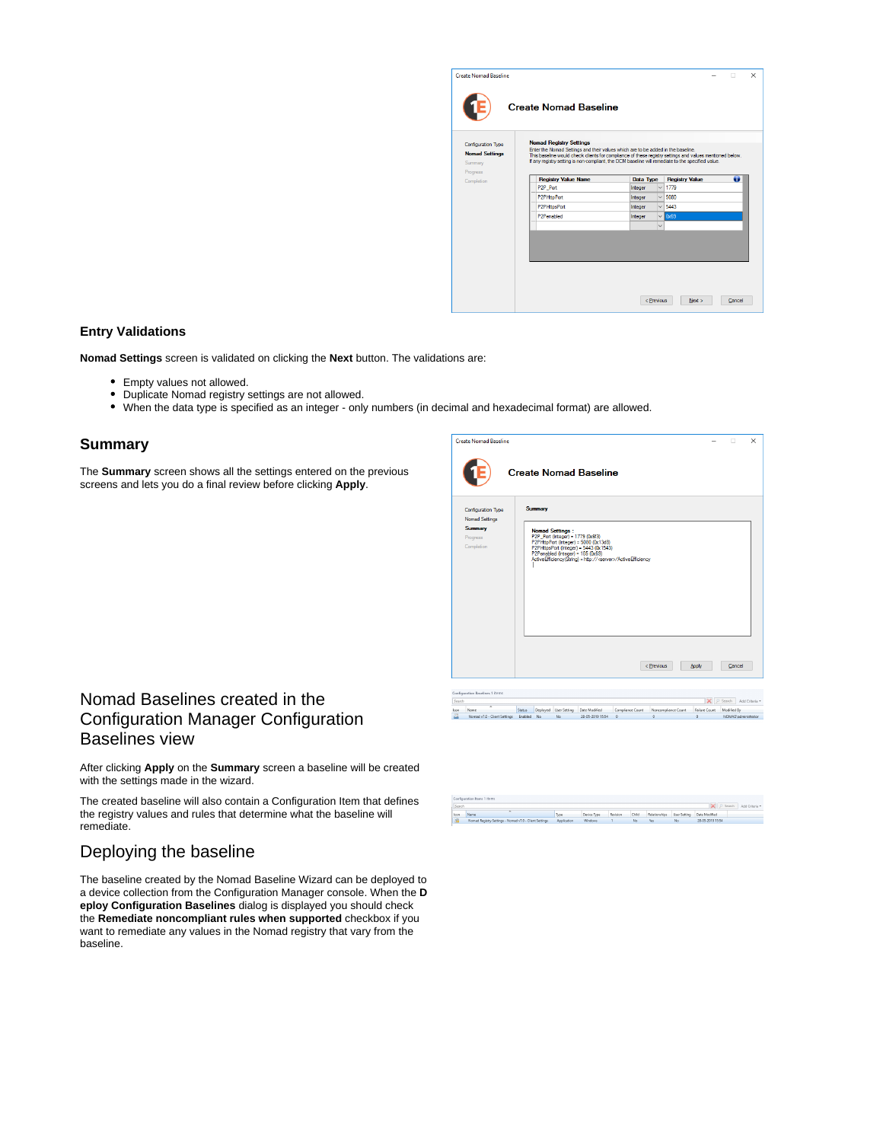| <b>Nomad Registry Settings</b><br>Enter the Nomad Settings and their values which are to be added in the baseline.<br>This baseline would check clients for compliance of these registry settings and values mentioned below.<br>If any registry setting is non-compliant, the DCM baseline will remediate to the specified value. |         |                     |             |                                           |
|------------------------------------------------------------------------------------------------------------------------------------------------------------------------------------------------------------------------------------------------------------------------------------------------------------------------------------|---------|---------------------|-------------|-------------------------------------------|
|                                                                                                                                                                                                                                                                                                                                    |         |                     |             |                                           |
|                                                                                                                                                                                                                                                                                                                                    |         |                     |             |                                           |
| <b>Registry Value Name</b>                                                                                                                                                                                                                                                                                                         |         | Data Type           |             | o                                         |
| P2P Port                                                                                                                                                                                                                                                                                                                           | Integer | $\checkmark$        | 1779        |                                           |
| P2PHttpPort                                                                                                                                                                                                                                                                                                                        | Integer | $\checkmark$        | 5080        |                                           |
| P2PHttpsPort                                                                                                                                                                                                                                                                                                                       | Integer |                     | 5443        |                                           |
| P2Penabled                                                                                                                                                                                                                                                                                                                         | Integer |                     | <b>Qx69</b> |                                           |
|                                                                                                                                                                                                                                                                                                                                    |         | $\ddot{\mathbf{v}}$ |             |                                           |
|                                                                                                                                                                                                                                                                                                                                    |         |                     |             |                                           |
|                                                                                                                                                                                                                                                                                                                                    |         |                     |             |                                           |
|                                                                                                                                                                                                                                                                                                                                    |         |                     |             | <b>Registry Value</b><br>$\vee$<br>$\vee$ |

#### **Entry Validations**

**Nomad Settings** screen is validated on clicking the **Next** button. The validations are:

- Empty values not allowed.
- Duplicate Nomad registry settings are not allowed.
- When the data type is specified as an integer only numbers (in decimal and hexadecimal format) are allowed.

#### **Summary**

The **Summary** screen shows all the settings entered on the previous screens and lets you do a final review before clicking **Apply**.

|                | <b>Create Nomad Baseline</b>                               |               |          |                                                             | <b>Create Nomad Baseline</b>                                                                                                                                                                  |                  |                     |                      | п                   | $\times$       |
|----------------|------------------------------------------------------------|---------------|----------|-------------------------------------------------------------|-----------------------------------------------------------------------------------------------------------------------------------------------------------------------------------------------|------------------|---------------------|----------------------|---------------------|----------------|
|                |                                                            |               |          |                                                             |                                                                                                                                                                                               |                  |                     |                      |                     |                |
|                | Configuration Type                                         |               | Summary  |                                                             |                                                                                                                                                                                               |                  |                     |                      |                     |                |
|                | Nomad Settings<br><b>Summary</b><br>Progress<br>Completion |               |          | <b>Nomad Settings:</b><br>P2P Port (Integer) = 1779 (0x6f3) | P2PHttpPort (Integer) = 5080 (0x13d8)<br>P2PHttpsPort (Integer) = 5443 (0x1543)<br>P2Penabled (Integer) = 105 (0x69)<br>ActiveEfficiency(String) = http:// <server>/ActiveEfficiency</server> |                  |                     |                      |                     |                |
|                | Configuration Baselines 1 items                            |               |          |                                                             |                                                                                                                                                                                               |                  | < Previous          | Apply<br>$\mathbf x$ | Cancel<br>Search    | Add Criteria * |
| Search<br>Icon | Name                                                       | <b>Status</b> | Deployed | User Setting                                                | Date Modified                                                                                                                                                                                 | Compliance Count | Noncompliance Count | Failure Count        | Modified By         |                |
| 圖              | Nomad v7.0 - Client Settings                               | Enabled No.   |          | No.                                                         | 28-05-2019 15:54                                                                                                                                                                              | $\circ$          | $\circ$             | $\mathbf 0$          | NOMAD\administrator |                |

# <span id="page-2-0"></span>Nomad Baselines created in the Configuration Manager Configuration Baselines view

After clicking **Apply** on the **Summary** screen a baseline will be created with the settings made in the wizard.

The created baseline will also contain a Configuration Item that defines the registry values and rules that determine what the baseline will remediate.

# <span id="page-2-1"></span>Deploying the baseline

The baseline created by the Nomad Baseline Wizard can be deployed to a device collection from the Configuration Manager console. When the **D eploy Configuration Baselines** dialog is displayed you should check the **Remediate noncompliant rules when supported** checkbox if you want to remediate any values in the Nomad registry that vary from the baseline.

 $\mathbb{R}$   $\supset$  Search A  $\frac{|\mathbf{x}|}{|\mathbf{x}|}$  .<br>https://www.article.org/windows/windows/windows/windows/windows/windows/windows/windows/windows/windows/windows/windows/windows/windows/windows/windows/windows/windows/windows/windows/windows/windows/w